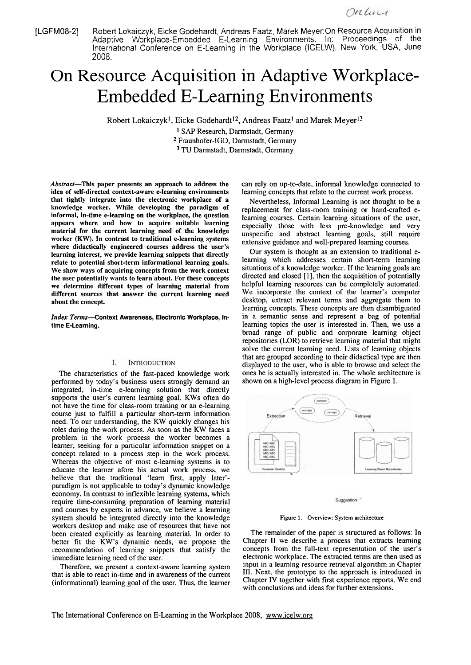[LGFM08-21 Robert Lokaiczyk, Eicke Godehardt, Andreas Faatz, Marek Meyer:On Resource Acquisition in Adaptive Workplace-Embedded E-Learning Environments. In: Proceedings of the International Conference on E-Learning in the Workplace (ICELW), New York, USA, June 2008.

# On Resource Acquisition in Adaptive Workplace-Embedded E-Learning Environments

Robert Lokaiczyk<sup>1</sup>, Eicke Godehardt<sup>12</sup>, Andreas Faatz<sup>1</sup> and Marek Meyer<sup>13</sup>

<sup>1</sup> SAP Research, Darmstadt, Germany Fraunhofer-IGD, Darmstadt, Germany <sup>3</sup> TU Darmstadt, Darmstadt, Germany

**Abstract-This paper presents an approach to address the idea of self-directed context-aware e-learning environments that tightly integrate into the electronic workplace of a knowledge worker. While developing the paradigm of informal, in-time e-learning on the workplace, the question appears where and how to acquire suitable learning material for the current learning need of the knowledge worker (KW). In contrast to traditional e-learning systems where didactically engineered courses address the user's learning interest, we provide learning snippets that directly relate to potential short-term informational learning goals. We show ways of acquiring concepts from the work context the user potentially wants to learn about. For these concepts we deterrnine different types of learning material from different sources that answer the current learning need about the concept.** 

**Index** Terms-Context Awareness, Electronic Workplace, Intime E-Learning.

#### I. **INTRODUCTION**

The characteristics of the fast-paced knowledge work performed by today's business users strongly demand an integrated, in-time e-leaming solution that directly supports the user's current leaming goal. KWs often do not have the time for class-room training or an e-leaming Course just to fulfill a particular short-term information need. To our understanding, the KW quickly changes his roles during the work process. As soon as the KW faces a problem in the work process the worker becomes a leamer, seeking for a particular information snippet on a concept related to a process step in the work process. Whereas the objective of most e-learning systems is to educate the leamer afore his actual work process, we believe that the traditional 'leam first, apply 1ater' paradigm is not applicable to today's dynamic knowledge economy. In contrast to inflexible leaming systems, which require time-consuming preparation of leaming material and courses by experts in advance, we believe a learning system should be integrated directly into the knowledge workers desktop and make use of resources that have not been created explicitly as learning material. In order to better fit the KW's dynamic needs, we propose the recommendation of learning snippets that satisfy the immediate leaming need of the user.

Therefore, we present a context-aware learning system that is able to react in-time and in awareness of the current (informational) leaming goal of the user. Thus, the leamer

can rely on up-to-date, informal knowledge connected to learning concepts that relate to the current work process.

Nevertheless, Informal Learning is not thought to be a replacement for class-room training or hand-crafted elearning courses. Certain leaming situations of the user, especially those with less pre-knowledge and very unspecific and abstract leaming goals, still require extensive guidance and well-prepared leaming courses.

Our system is thought as an extension to traditional eleaming which addresses certain short-term leaming situations of a knowledge worker. If the leaming goals are directed and closed [I], then the acquisition of potentially helpful learning resources can be completely automated. We incorporate the context of the learner's computer desktop, extract relevant terms and aggregate them to learning concepts. These concepts are then disambiguated in a semantic sense and represent a bag of potential learning topics the user is interested in. Then, we use a broad range of public and corporate leaming object repositories (LOR) to retrieve learning material that might solve the current leaming need. Lists of leaming objects that are grouped according to their didactical type are then displayed to the user, who is able to browse and select the ones he is actually interested in. The whole architecture is shown on a high-level process diagram in Figure 1.



Suggestion

Figure I. Overview: **System architecture** 

The remainder of the paper is structured as follows: In Chapter LI we describe a process that extracts leaming concepts from the full-text representation of the user's electronic workplace. The extracted terms are then used as input in a leaming resource retrieval algorithm in Chapter III. Next, the prototype to the approach is introduced in Chapter **TV** together with first experience reports. We end with conclusions and ideas for further extensions.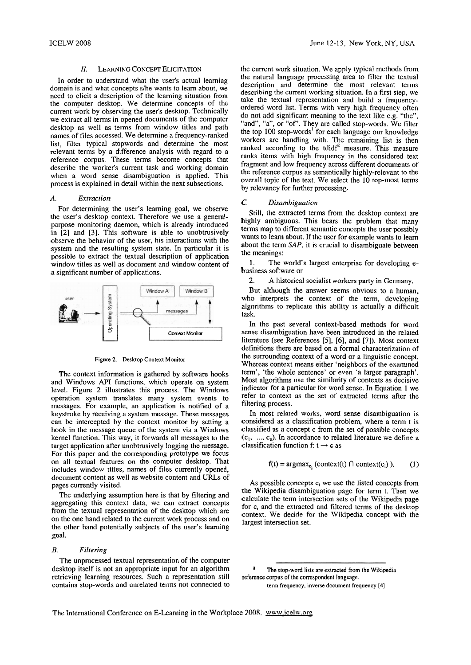In order to understand what the user's actual leaming domain is and what concepts s/he wants to learn about, we need to elicit a descnption of the learning situation from the computer desktop. We determine concepts of the current work by observing the user's desktop. Technically we extract all terms in opened documents of the computer desktop as well as terms from window titles and path names of files accessed. We determine a frequency-ranked list, filter typical stopwords and determine the most relevant terms by a difference analysis with regard to a reference corpus. These terms become concepts that describe the worker's current task and working domain when a word sense disambiguation is applied. This process is explained in detail within the next subsections.

### *A. Extraction*

For determining the user's learning goal, we observe the user's desktop context. Therefore we use a generalpurpose monitoring daemon, which is already introduced in [2] and [3]. This software is able to unobtrusively observe the behavior of the User, his interactions with the system and the resulting system state. In particular it is possible to extract the textual description of application window titles as well as document and window content of a significant number of applications.



**Figure 2. Desktop Context Monitor** 

The context information is gathered by software hooks and Windows API functions, which operate on system level. Figure 2 illustrates this process. The Windows operation system transiates many system events to messages. For example, an application is notified of a keystroke by receiving a system message. These messages can be intercepted by the context monitor by setting a hook in the message queue of the system via a Windows kerne1 function. This way, it forwards all messages to the target application after unobtrusively logging the message. For this paper and the corresponding prototype we focus on all textual features on the computer desktop. That includes window titles, names of files currently opened, document content as well as website content and URLs of pages currently visited.

The underlying assumption here is that by filtering and aggregating this context data, we can extract concepts from the textual representation of the desktop which are on the one hand related to the current work process and on the other hand potentially subjects of the user's learning goal.

# *B. Filtering*

The unprocessed textual representation of the computer desktop itself is not an appropriate input for an algorithm ' **The stop-word lists are extracted from the Wikipedia**  retrieving learning resources. Such a representation still reference corpus of the correspondent language. contains stop-words and unrelated terms not connected to **term frequency. inverse document frequency [4]** 

the current work situation. We apply typical methods from the natural language processing area to filter the textual description and determine the most relevant terms descnbing the current working situation. In a first step, we take the textual representation and build a frequencyordered word list. Terms with very high frequency often do not add significant meaning to the text like e.g. "the", "and", "a", or "of". They are called stop-words. We filter the top  $100$  stop-words<sup>1</sup> for each language our knowledge workers are handling with. The remaining list is then ranked according to the tdid $f^2$  measure. This measure ranks items with high frequency in the considered text fragment and low frequency across different documents of the reference corpus as semantically highly-relevant to the overall topic of the text. We select the 10 top-most terms by relevancy for further processing.

## *C. Disambiguation*

Still, the extracted terms from the desktop context are highly ambiguous. This bears the problem that many terms map to different semantic concepts the User possibly wants to learn about. If the user for example wants to learn about the term SAP, it is crucial to disambiguate between the meanings:

1. The world's largest enterprise for developing ebusiness software or

2. A historical socialist workers party in Germany.

But although the answer seems obvious to a human, who interprets the context of the term, developing algorithms to replicate this ability is actually a difficult task.

In the past several context-based methods for word sense disambiguation have been introduced in the related literature (see References [5], [6], and [7]). Most context definitions there are based on a formal characterization of the surrounding context of a word or a linguistic concept. Whereas context means either 'neighbors of the examined term', 'the whole sentence' or even 'a larger paragraph'. Most algorithms use the similarity of contexts as decisive indicator for a particular for word sense. In Equation 1 we refer to context as the Set of extracted terms after the filtering process.

In most related works, word sense disambiguation is considered as a classification problem, where a term t is classified as a concept c from the set of possible concepts  $(c_1, ..., c_n)$ . In accordance to related literature we define a classification function f:  $t \rightarrow c$  as

$$
f(t) = \operatorname{argmax}_{c_i} (\text{context}(t) \cap \text{context}(c_i)). \tag{1}
$$

As possible concepts  $c_i$  we use the listed concepts from the Wikipedia disambiguation page for term t. Then we calculate the term intersection sets of the Wikipedia page for c<sub>i</sub> and the extracted and filtered terms of the desktop context. We decide for the Wikipedia concept with the largest intersection set.

The International Conference on E-Learning in the Workplace 2008, www.icelw.org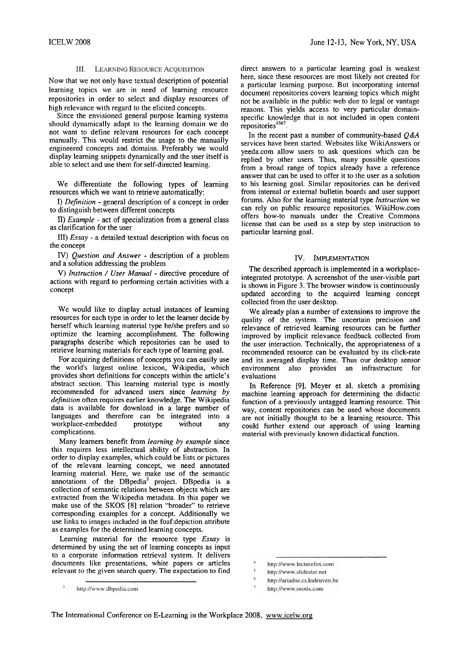# **III.** LEARNING RESOURCE ACOUISITION

Now that we not only have textual description of potential learning topics we are in need of learning resource repositories in order to select and display resources of high relevance with regard to the elicited concepts.

Since the envisioned general purpose learning systems should dynamically adapt to the learning domain we do not Want to define relevant resources for each concept manually. This would restrict the usage to the manually engineered concepts and domains. Preferably we would display learning snippets dynamically and the user itself is able to select and use thern for self-directed learning.

We differentiate the following types of learning resources which we Want to retrieve automatically:

I) *Definition* - general description of a concept in order to distinguish between different concepts

**II)** *Example* - act of specialization from a general class as clarification for the user

III) *Essay* - a detailed textual description with focus on the concept

*W) Question and Answer* - description of a problem and a solution addressing the problem

*V) lnstruction* / *User Manual* - directive procedure of actions with regard to performing certain activities with a concept

We would like to display actual instances of learning resources for each type in order to let the learner decide by herself which learning material type helshe prefers and so optimize the learning accomplishment. The following paragraphs describe which repositories can be used to retrieve learning materials for each type of learning goal.

For acquiring definitions of concepts you can easily use the world's largest online lexicon, Wikipedia, which provides short definitions for concepts within the article's abstract section. This learning material type is mostly recommended for advanced users since *learning by de5nifion* often requires earlier knowledge. The Wikipedia data is available for download in a large number of languages and therefore can be integrated into a workplace-embedded prototype without any workplace-embedded prototype without any complications.

Many learners benefit from *learning by example* since this requires less intellectual ability of abstraction. In order to display examples, which could be lists or pictures of the relevant learning concept, we need annotated leaming material. Here, we make use of the semantic annotations of the  $DBpedia<sup>3</sup>$  project. DBpedia is a collection of semantic relations between objects which are extracted from the Wikipedia metadata. In this paper we make use of the SKOS [8] relation "broader" to retrieve corresponding examples for a concept. Additionally we use links to images included in the foaf:depiction attribute as examples for the determined learning concepts.

Learning material for the resource type *Essay* is determined by using the set of learning concepts as input to a corporate inforrnation retrieval system. It delivers documents like presentations, white papers or articles relevant to the given search query. The expectation to find direct answers to a particular learning goal is weakest here, since these resources are most likely not created for a particular learning purpose. But incorporating internal document repositories covers learning topics which might not be available in the public web due to legal or vantage reasons. This yields access to very particular domainspecific knowledge that is not included in open content repositories<sup>4567</sup>.

In the recent past a number of community-based *Q&A*  services have been started. Websites like WikiAnswers or yeeda.com allow users to ask questions which can be replied by other users. Thus, many possible questions from a broad range of topics already have a reference answer that can be used to offer it to the user as a solution to his learning goal. Similar repositories can be derived from internal or external bulletin boards and user support forums. Also for the learning material type *lnstruction* we can rely on public resource repositories. WikiHow.com offers how-to rnanuals under the Creative Commons license that can be used as a step by step instruction to particular learning goal.

# IV. **IMPLEMENTATION**

The descnbed approach is implemented in a workplaceintegrated prototype. A screenshot of the user-visible part is shown in Figure **3.** The browser window is continuously updated according to the acquired leming concept collected from the user desktop.

We already plan a number of extensions to improve the quality of the system. The uncertain precision and relevance of retrieved leaming resources can be further improved by implicit relevance feedback collected from the user interaction. Technically, the appropriateness of a recommended resource can be evaluated by its click-rate and its averaged display time. Thus our desktop sensor environment also provides an infrastructure for evaluations

In Reference [9], Meyer et al. Sketch a promising machine learning approach for determining the didactic function of a previously untagged learning resource. This way, content repositories can be used whose documents are not initially thought to be a learning resource. This could further extend our approach of using learning material with previously known didactical function.

- http://ariadne.cs.kuleuven.be
- http://www.osotis.com

http://www.dbpedia.com

http://www.lecturefox.com

http://www.slidestar.net